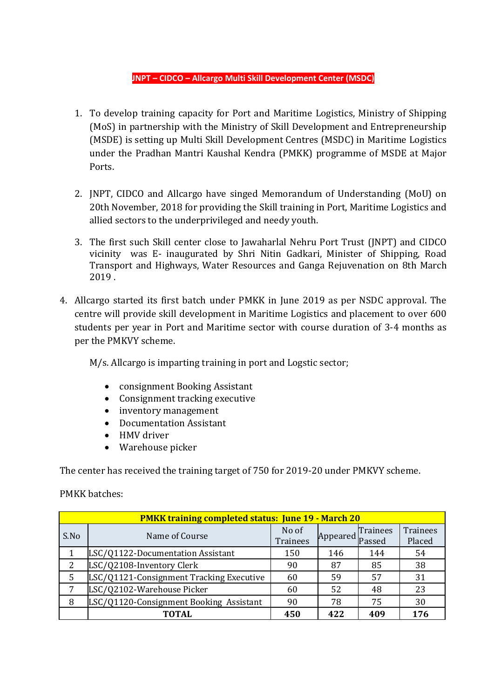## **JNPT – CIDCO – Allcargo Multi Skill Development Center (MSDC)**

- 1. To develop training capacity for Port and Maritime Logistics, Ministry of Shipping (MoS) in partnership with the Ministry of Skill Development and Entrepreneurship (MSDE) is setting up Multi Skill Development Centres (MSDC) in Maritime Logistics under the Pradhan Mantri Kaushal Kendra (PMKK) programme of MSDE at Major Ports.
- 2. JNPT, CIDCO and Allcargo have singed Memorandum of Understanding (MoU) on 20th November, 2018 for providing the Skill training in Port, Maritime Logistics and allied sectors to the underprivileged and needy youth.
- 3. The first such Skill center close to Jawaharlal Nehru Port Trust (JNPT) and CIDCO vicinity was E- inaugurated by Shri Nitin Gadkari, Minister of Shipping, Road Transport and Highways, Water Resources and Ganga Rejuvenation on 8th March 2019 .
- 4. Allcargo started its first batch under PMKK in June 2019 as per NSDC approval. The centre will provide skill development in Maritime Logistics and placement to over 600 students per year in Port and Maritime sector with course duration of 3-4 months as per the PMKVY scheme.

M/s. Allcargo is imparting training in port and Logstic sector;

- consignment Booking Assistant
- Consignment tracking executive
- inventory management
- Documentation Assistant
- HMV driver
- Warehouse picker

The center has received the training target of 750 for 2019-20 under PMKVY scheme.

PMKK batches:

| <b>PMKK training completed status: June 19 - March 20</b> |                                          |                          |          |                    |                           |  |  |  |  |
|-----------------------------------------------------------|------------------------------------------|--------------------------|----------|--------------------|---------------------------|--|--|--|--|
| S.No                                                      | Name of Course                           | No of<br><b>Trainees</b> | Appeared | Trainees<br>Passed | <b>Trainees</b><br>Placed |  |  |  |  |
|                                                           | LSC/Q1122-Documentation Assistant        | 150                      | 146      | 144                | 54                        |  |  |  |  |
|                                                           | LSC/Q2108-Inventory Clerk                | 90                       | 87       | 85                 | 38                        |  |  |  |  |
| 5                                                         | LSC/Q1121-Consignment Tracking Executive | 60                       | 59       | 57                 | 31                        |  |  |  |  |
|                                                           | LSC/Q2102-Warehouse Picker               | 60                       | 52       | 48                 | 23                        |  |  |  |  |
| 8                                                         | LSC/Q1120-Consignment Booking Assistant  | 90                       | 78       | 75                 | 30                        |  |  |  |  |
|                                                           | TOTAL                                    | 450                      | 422      | 409                | 176                       |  |  |  |  |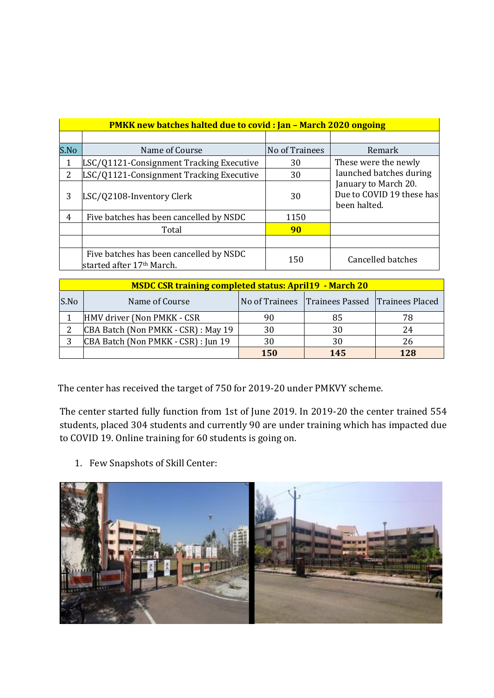| <b>PMKK new batches halted due to covid: Jan - March 2020 ongoing</b> |                                                                                  |                |                                                                   |  |  |  |  |
|-----------------------------------------------------------------------|----------------------------------------------------------------------------------|----------------|-------------------------------------------------------------------|--|--|--|--|
|                                                                       |                                                                                  |                |                                                                   |  |  |  |  |
| S.No                                                                  | Name of Course                                                                   | No of Trainees | Remark                                                            |  |  |  |  |
|                                                                       | LSC/Q1121-Consignment Tracking Executive                                         | 30             | These were the newly                                              |  |  |  |  |
| 2.                                                                    | LSC/Q1121-Consignment Tracking Executive                                         | 30             | launched batches during                                           |  |  |  |  |
| 3                                                                     | LSC/Q2108-Inventory Clerk                                                        | 30             | January to March 20.<br>Due to COVID 19 these has<br>been halted. |  |  |  |  |
| $\overline{4}$                                                        | Five batches has been cancelled by NSDC                                          | 1150           |                                                                   |  |  |  |  |
|                                                                       | Total                                                                            | 90             |                                                                   |  |  |  |  |
|                                                                       |                                                                                  |                |                                                                   |  |  |  |  |
|                                                                       | Five batches has been cancelled by NSDC<br>started after 17 <sup>th</sup> March. | 150            | <b>Cancelled batches</b>                                          |  |  |  |  |

| <b>MSDC CSR training completed status: April19 - March 20</b> |                                     |            |                                                |     |  |  |  |  |
|---------------------------------------------------------------|-------------------------------------|------------|------------------------------------------------|-----|--|--|--|--|
| S.No                                                          | Name of Course                      |            | No of Trainees Trainees Passed Trainees Placed |     |  |  |  |  |
|                                                               | HMV driver (Non PMKK - CSR          | 90         | 85                                             | 78  |  |  |  |  |
|                                                               | CBA Batch (Non PMKK - CSR) : May 19 | 30         | 30                                             | 24  |  |  |  |  |
|                                                               | CBA Batch (Non PMKK - CSR) : Jun 19 | 30         | 30                                             | 26  |  |  |  |  |
|                                                               |                                     | <b>150</b> | 145                                            | 128 |  |  |  |  |

The center has received the target of 750 for 2019-20 under PMKVY scheme.

The center started fully function from 1st of June 2019. In 2019-20 the center trained 554 students, placed 304 students and currently 90 are under training which has impacted due to COVID 19. Online training for 60 students is going on.

1. Few Snapshots of Skill Center: